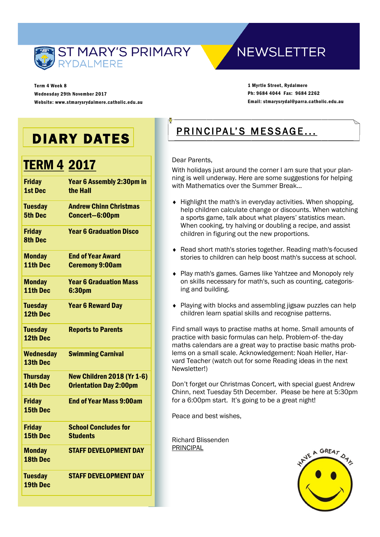

**NEWSLETTER** 

Term 4 Week 8 Wednesday 29th November 2017 Website: www.stmarysrydalmere.catholic.edu.au

1 Myrtle Street, Rydalmere Ph: 9684 4044 Fax: 9684 2262 Email: stmarysrydal@parra.catholic.edu.au

## DIARY DATES

## TERM 4 2017

| <b>Friday</b><br><b>1st Dec</b>  | Year 6 Assembly 2:30pm in<br>the Hall                              |
|----------------------------------|--------------------------------------------------------------------|
| <b>Tuesday</b><br><b>5th Dec</b> | <b>Andrew Chinn Christmas</b><br>Concert-6:00pm                    |
| <b>Friday</b><br><b>8th Dec</b>  | <b>Year 6 Graduation Disco</b>                                     |
| <b>Monday</b><br>11th Dec        | <b>End of Year Award</b><br><b>Ceremony 9:00am</b>                 |
| <b>Monday</b><br>11th Dec        | <b>Year 6 Graduation Mass</b><br>6:30pm                            |
| <b>Tuesday</b><br>12th Dec       | <b>Year 6 Reward Day</b>                                           |
| <b>Tuesday</b><br>12th Dec       | <b>Reports to Parents</b>                                          |
| <b>Wednesday</b><br>13th Dec     | <b>Swimming Carnival</b>                                           |
| <b>Thursday</b><br>14th Dec      | <b>New Children 2018 (Yr 1-6)</b><br><b>Orientation Day 2:00pm</b> |
| <b>Friday</b><br>15th Dec        | <b>End of Year Mass 9:00am</b>                                     |
| <b>Friday</b><br>15th Dec        | <b>School Concludes for</b><br><b>Students</b>                     |
| <b>Monday</b><br><b>18th Dec</b> | <b>STAFF DEVELOPMENT DAY</b>                                       |
| <b>Tuesday</b><br>19th Dec       | <b>STAFF DEVELOPMENT DAY</b>                                       |
|                                  |                                                                    |

## PRINCIPAL'S MESSAGE...

#### Dear Parents,

With holidays just around the corner I am sure that your planning is well underway. Here are some suggestions for helping with Mathematics over the Summer Break…

- $\bullet$  Highlight the math's in everyday activities. When shopping, help children calculate change or discounts. When watching a sports game, talk about what players' statistics mean. When cooking, try halving or doubling a recipe, and assist children in figuring out the new proportions.
- Read short math's stories together. Reading math's-focused stories to children can help boost math's success at school.
- Play math's games. Games like Yahtzee and Monopoly rely on skills necessary for math's, such as counting, categorising and building.
- Playing with blocks and assembling jigsaw puzzles can help children learn spatial skills and recognise patterns.

Find small ways to practise maths at home. Small amounts of practice with basic formulas can help. Problem-of- the-day maths calendars are a great way to practise basic maths problems on a small scale. Acknowledgement: Noah Heller, Harvard Teacher (watch out for some Reading ideas in the next Newsletter!)

Don't forget our Christmas Concert, with special guest Andrew Chinn, next Tuesday 5th December. Please be here at 5:30pm for a 6:00pm start. It's going to be a great night!

Peace and best wishes,

Richard Blissenden PRINCIPAL

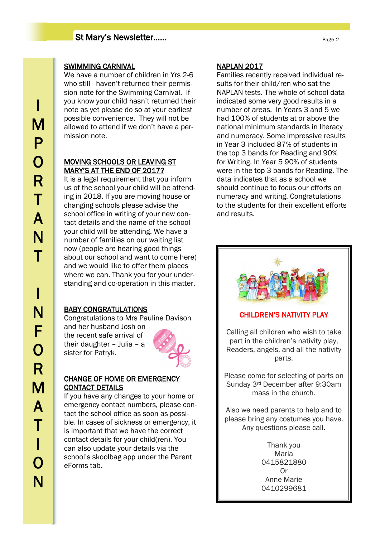#### St Mary's Newsletter……

#### SWIMMING CARNIVAL

We have a number of children in Yrs 2-6 who still haven't returned their permission note for the Swimming Carnival. If you know your child hasn't returned their note as yet please do so at your earliest possible convenience. They will not be allowed to attend if we don't have a permission note.

#### MOVING SCHOOLS OR LEAVING ST MARY'S AT THE END OF 2017?

It is a legal requirement that you inform us of the school your child will be attending in 2018. If you are moving house or changing schools please advise the school office in writing of your new contact details and the name of the school your child will be attending. We have a number of families on our waiting list now (people are hearing good things about our school and want to come here) and we would like to offer them places where we can. Thank you for your understanding and co-operation in this matter.

#### BABY CONGRATULATIONS

Congratulations to Mrs Pauline Davison

and her husband Josh on the recent safe arrival of their daughter – Julia – a sister for Patryk.



#### CHANGE OF HOME OR EMERGENCY CONTACT DETAILS

If you have any changes to your home or emergency contact numbers, please contact the school office as soon as possible. In cases of sickness or emergency, it is important that we have the correct contact details for your child(ren). You can also update your details via the school's skoolbag app under the Parent eForms tab.

#### NAPLAN 2017

Families recently received individual results for their child/ren who sat the NAPLAN tests. The whole of school data indicated some very good results in a number of areas. In Years 3 and 5 we had 100% of students at or above the national minimum standards in literacy and numeracy. Some impressive results in Year 3 included 87% of students in the top 3 bands for Reading and 90% for Writing. In Year 5 90% of students were in the top 3 bands for Reading. The data indicates that as a school we should continue to focus our efforts on numeracy and writing. Congratulations to the students for their excellent efforts and results.



#### CHILDREN'S NATIVITY PLAY

Calling all children who wish to take part in the children's nativity play, Readers, angels, and all the nativity parts.

Please come for selecting of parts on Sunday 3rd December after 9:30am mass in the church.

Also we need parents to help and to please bring any costumes you have. Any questions please call.

> Thank you Maria 0415821880 Or Anne Marie 0410299681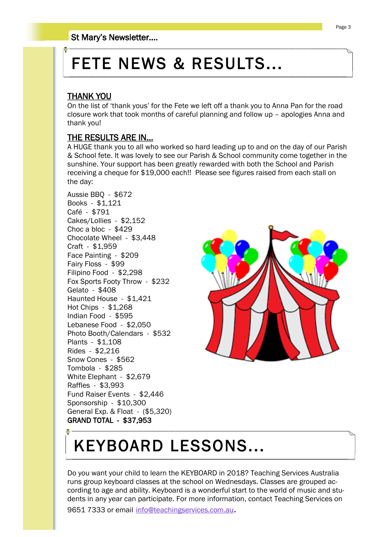# FETE NEWS & RESULTS...

#### THANK YOU

On the list of 'thank yous' for the Fete we left off a thank you to Anna Pan for the road closure work that took months of careful planning and follow up – apologies Anna and thank you!

#### THE RESULTS ARE IN...

A HUGE thank you to all who worked so hard leading up to and on the day of our Parish & School fete. It was lovely to see our Parish & School community come together in the sunshine. Your support has been greatly rewarded with both the School and Parish receiving a cheque for \$19,000 each!! Please see figures raised from each stall on the day:

Aussie BBQ - \$672 Books - \$1,121 Café - \$791 Cakes/Lollies - \$2,152 Choc a bloc - \$429 Chocolate Wheel - \$3,448 Craft - \$1,959 Face Painting - \$209 Fairy Floss - \$99 Filipino Food - \$2,298 Fox Sports Footy Throw - \$232 Gelato - \$408 Haunted House - \$1,421 Hot Chips - \$1,268 Indian Food - \$595 Lebanese Food - \$2,050 Photo Booth/Calendars - \$532 Plants - \$1,108 Rides - \$2,216 Snow Cones - \$562 Tombola - \$285 White Elephant - \$2,679 Raffles - \$3,993 Fund Raiser Events - \$2,446 Sponsorship - \$10,300 General Exp. & Float - (\$5,320) GRAND TOTAL - \$37,953



# KEYBOARD LESSONS...

Do you want your child to learn the KEYBOARD in 2018? Teaching Services Australia runs group keyboard classes at the school on Wednesdays. Classes are grouped according to age and ability. Keyboard is a wonderful start to the world of music and students in any year can participate. For more information, contact Teaching Services on 9651 7333 or email [info@teachingservices.com.au](mailto:info@teachingservices.com.au).